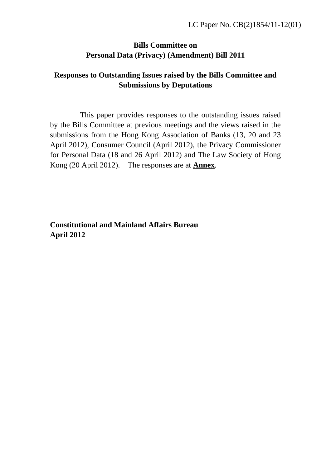## **Bills Committee on Personal Data (Privacy) (Amendment) Bill 2011**

## **Responses to Outstanding Issues raised by the Bills Committee and Submissions by Deputations**

 This paper provides responses to the outstanding issues raised by the Bills Committee at previous meetings and the views raised in the submissions from the Hong Kong Association of Banks (13, 20 and 23 April 2012), Consumer Council (April 2012), the Privacy Commissioner for Personal Data (18 and 26 April 2012) and The Law Society of Hong Kong (20 April 2012). The responses are at **Annex**.

**Constitutional and Mainland Affairs Bureau April 2012**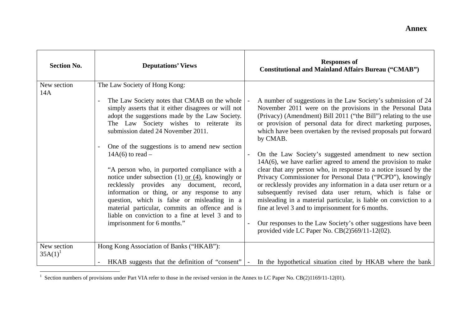| <b>Section No.</b>        | <b>Deputations' Views</b>                                                                                                                                                                                                                                                                                                                                                                                                                                                                                                                                                                                                                                                                                                                  | <b>Responses of</b><br><b>Constitutional and Mainland Affairs Bureau ("CMAB")</b>                                                                                                                                                                                                                                                                                                                                                                                                                                                                                                                                                                                                                                                                                                                                                                                                                                                                                      |
|---------------------------|--------------------------------------------------------------------------------------------------------------------------------------------------------------------------------------------------------------------------------------------------------------------------------------------------------------------------------------------------------------------------------------------------------------------------------------------------------------------------------------------------------------------------------------------------------------------------------------------------------------------------------------------------------------------------------------------------------------------------------------------|------------------------------------------------------------------------------------------------------------------------------------------------------------------------------------------------------------------------------------------------------------------------------------------------------------------------------------------------------------------------------------------------------------------------------------------------------------------------------------------------------------------------------------------------------------------------------------------------------------------------------------------------------------------------------------------------------------------------------------------------------------------------------------------------------------------------------------------------------------------------------------------------------------------------------------------------------------------------|
| New section<br>14A        | The Law Society of Hong Kong:<br>The Law Society notes that CMAB on the whole<br>simply asserts that it either disagrees or will not<br>adopt the suggestions made by the Law Society.<br>The Law Society wishes to reiterate its<br>submission dated 24 November 2011.<br>One of the suggestions is to amend new section<br>$14A(6)$ to read –<br>"A person who, in purported compliance with a<br>notice under subsection $(1)$ or $(4)$ , knowingly or<br>recklessly provides any document, record,<br>information or thing, or any response to any<br>question, which is false or misleading in a<br>material particular, commits an offence and is<br>liable on conviction to a fine at level 3 and to<br>imprisonment for 6 months." | A number of suggestions in the Law Society's submission of 24<br>November 2011 were on the provisions in the Personal Data<br>(Privacy) (Amendment) Bill 2011 ("the Bill") relating to the use<br>or provision of personal data for direct marketing purposes,<br>which have been overtaken by the revised proposals put forward<br>by CMAB.<br>On the Law Society's suggested amendment to new section<br>$\overline{\phantom{a}}$<br>$14A(6)$ , we have earlier agreed to amend the provision to make<br>clear that any person who, in response to a notice issued by the<br>Privacy Commissioner for Personal Data ("PCPD"), knowingly<br>or recklessly provides any information in a data user return or a<br>subsequently revised data user return, which is false or<br>misleading in a material particular, is liable on conviction to a<br>fine at level 3 and to imprisonment for 6 months.<br>Our responses to the Law Society's other suggestions have been |
| New section<br>$35A(1)^1$ | Hong Kong Association of Banks ("HKAB"):<br>HKAB suggests that the definition of "consent"                                                                                                                                                                                                                                                                                                                                                                                                                                                                                                                                                                                                                                                 | provided vide LC Paper No. $CB(2)569/11-12(02)$ .<br>In the hypothetical situation cited by HKAB where the bank                                                                                                                                                                                                                                                                                                                                                                                                                                                                                                                                                                                                                                                                                                                                                                                                                                                        |

<sup>&</sup>lt;sup>1</sup> Section numbers of provisions under Part VIA refer to those in the revised version in the Annex to LC Paper No. CB(2)1169/11-12(01).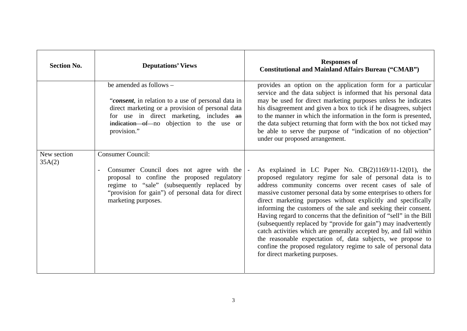| <b>Section No.</b>    | <b>Deputations' Views</b>                                                                                                                                                                                                                                       | <b>Responses of</b><br><b>Constitutional and Mainland Affairs Bureau ("CMAB")</b>                                                                                                                                                                                                                                                                                                                                                                                                                                                                                                                                                                                                                                                                                           |
|-----------------------|-----------------------------------------------------------------------------------------------------------------------------------------------------------------------------------------------------------------------------------------------------------------|-----------------------------------------------------------------------------------------------------------------------------------------------------------------------------------------------------------------------------------------------------------------------------------------------------------------------------------------------------------------------------------------------------------------------------------------------------------------------------------------------------------------------------------------------------------------------------------------------------------------------------------------------------------------------------------------------------------------------------------------------------------------------------|
|                       | be amended as follows -<br>"consent, in relation to a use of personal data in<br>direct marketing or a provision of personal data<br>for use in direct marketing, includes an<br>indication of no objection to the use or<br>provision."                        | provides an option on the application form for a particular<br>service and the data subject is informed that his personal data<br>may be used for direct marketing purposes unless he indicates<br>his disagreement and given a box to tick if he disagrees, subject<br>to the manner in which the information in the form is presented,<br>the data subject returning that form with the box not ticked may<br>be able to serve the purpose of "indication of no objection"<br>under our proposed arrangement.                                                                                                                                                                                                                                                             |
| New section<br>35A(2) | <b>Consumer Council:</b><br>Consumer Council does not agree with the<br>$\overline{a}$<br>proposal to confine the proposed regulatory<br>regime to "sale" (subsequently replaced by<br>"provision for gain") of personal data for direct<br>marketing purposes. | As explained in LC Paper No. $CB(2)1169/11-12(01)$ , the<br>proposed regulatory regime for sale of personal data is to<br>address community concerns over recent cases of sale of<br>massive customer personal data by some enterprises to others for<br>direct marketing purposes without explicitly and specifically<br>informing the customers of the sale and seeking their consent.<br>Having regard to concerns that the definition of "sell" in the Bill<br>(subsequently replaced by "provide for gain") may inadvertently<br>catch activities which are generally accepted by, and fall within<br>the reasonable expectation of, data subjects, we propose to<br>confine the proposed regulatory regime to sale of personal data<br>for direct marketing purposes. |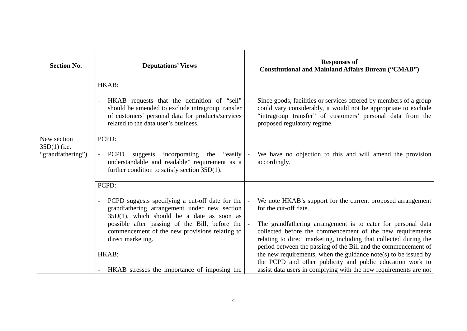| <b>Section No.</b>                                 | <b>Deputations' Views</b>                                                                                                                                                                    | <b>Responses of</b><br><b>Constitutional and Mainland Affairs Bureau ("CMAB")</b>                                                                                                                                                                                |
|----------------------------------------------------|----------------------------------------------------------------------------------------------------------------------------------------------------------------------------------------------|------------------------------------------------------------------------------------------------------------------------------------------------------------------------------------------------------------------------------------------------------------------|
|                                                    | HKAB:                                                                                                                                                                                        |                                                                                                                                                                                                                                                                  |
|                                                    | HKAB requests that the definition of "sell"<br>should be amended to exclude intragroup transfer<br>of customers' personal data for products/services<br>related to the data user's business. | Since goods, facilities or services offered by members of a group<br>could vary considerably, it would not be appropriate to exclude<br>"intragroup transfer" of customers' personal data from the<br>proposed regulatory regime.                                |
| New section<br>$35D(1)$ (i.e.<br>"grandfathering") | PCPD:<br><b>PCPD</b><br>suggests incorporating the "easily  -<br>understandable and readable" requirement as a<br>further condition to satisfy section $35D(1)$ .                            | We have no objection to this and will amend the provision<br>accordingly.                                                                                                                                                                                        |
|                                                    | PCPD:                                                                                                                                                                                        |                                                                                                                                                                                                                                                                  |
|                                                    | PCPD suggests specifying a cut-off date for the<br>$\overline{\phantom{a}}$<br>grandfathering arrangement under new section<br>$35D(1)$ , which should be a date as soon as                  | We note HKAB's support for the current proposed arrangement<br>for the cut-off date.                                                                                                                                                                             |
|                                                    | possible after passing of the Bill, before the<br>commencement of the new provisions relating to<br>direct marketing.                                                                        | The grandfathering arrangement is to cater for personal data<br>collected before the commencement of the new requirements<br>relating to direct marketing, including that collected during the<br>period between the passing of the Bill and the commencement of |
|                                                    | HKAB:                                                                                                                                                                                        | the new requirements, when the guidance note(s) to be issued by                                                                                                                                                                                                  |
|                                                    | HKAB stresses the importance of imposing the                                                                                                                                                 | the PCPD and other publicity and public education work to<br>assist data users in complying with the new requirements are not                                                                                                                                    |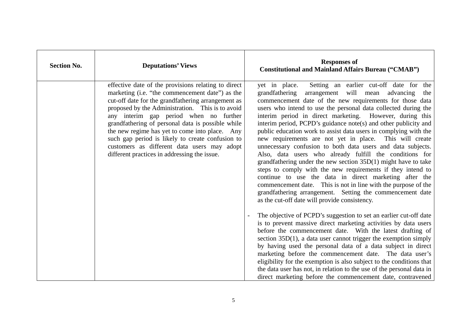| <b>Section No.</b> | <b>Deputations' Views</b>                                                                                                                                                                                                                                                                                                                                                                                                                                                                                            | <b>Responses of</b><br><b>Constitutional and Mainland Affairs Bureau ("CMAB")</b>                                                                                                                                                                                                                                                                                                                                                                                                                                                                                                                                                                                                                                                                                                                                                                                                                                                                                                                                                                                                                                                                                                                                                                                                                                                                                  |
|--------------------|----------------------------------------------------------------------------------------------------------------------------------------------------------------------------------------------------------------------------------------------------------------------------------------------------------------------------------------------------------------------------------------------------------------------------------------------------------------------------------------------------------------------|--------------------------------------------------------------------------------------------------------------------------------------------------------------------------------------------------------------------------------------------------------------------------------------------------------------------------------------------------------------------------------------------------------------------------------------------------------------------------------------------------------------------------------------------------------------------------------------------------------------------------------------------------------------------------------------------------------------------------------------------------------------------------------------------------------------------------------------------------------------------------------------------------------------------------------------------------------------------------------------------------------------------------------------------------------------------------------------------------------------------------------------------------------------------------------------------------------------------------------------------------------------------------------------------------------------------------------------------------------------------|
|                    | effective date of the provisions relating to direct<br>marketing (i.e. "the commencement date") as the<br>cut-off date for the grandfathering arrangement as<br>proposed by the Administration. This is to avoid<br>any interim gap period when no further<br>grandfathering of personal data is possible while<br>the new regime has yet to come into place. Any<br>such gap period is likely to create confusion to<br>customers as different data users may adopt<br>different practices in addressing the issue. | Setting an earlier cut-off date for the<br>yet in place.<br>arrangement will mean advancing<br>grandfathering<br>the<br>commencement date of the new requirements for those data<br>users who intend to use the personal data collected during the<br>interim period in direct marketing. However, during this<br>interim period, PCPD's guidance note(s) and other publicity and<br>public education work to assist data users in complying with the<br>new requirements are not yet in place. This will create<br>unnecessary confusion to both data users and data subjects.<br>Also, data users who already fulfill the conditions for<br>grandfathering under the new section $35D(1)$ might have to take<br>steps to comply with the new requirements if they intend to<br>continue to use the data in direct marketing after the<br>commencement date. This is not in line with the purpose of the<br>grandfathering arrangement. Setting the commencement date<br>as the cut-off date will provide consistency.<br>The objective of PCPD's suggestion to set an earlier cut-off date<br>is to prevent massive direct marketing activities by data users<br>before the commencement date. With the latest drafting of<br>section $35D(1)$ , a data user cannot trigger the exemption simply<br>by having used the personal data of a data subject in direct |
|                    |                                                                                                                                                                                                                                                                                                                                                                                                                                                                                                                      | marketing before the commencement date. The data user's<br>eligibility for the exemption is also subject to the conditions that<br>the data user has not, in relation to the use of the personal data in<br>direct marketing before the commencement date, contravened                                                                                                                                                                                                                                                                                                                                                                                                                                                                                                                                                                                                                                                                                                                                                                                                                                                                                                                                                                                                                                                                                             |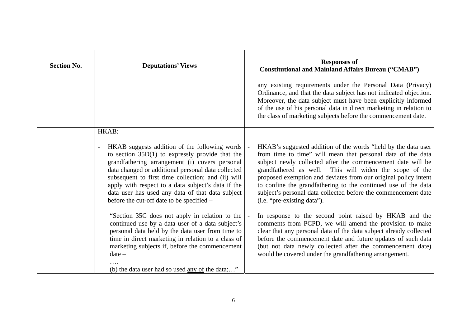| <b>Section No.</b> | <b>Deputations' Views</b>                                                                                                                                                                                                                                                                                                                                                                                                                 | <b>Responses of</b><br><b>Constitutional and Mainland Affairs Bureau ("CMAB")</b>                                                                                                                                                                                                                                                                                                                                                                                                            |
|--------------------|-------------------------------------------------------------------------------------------------------------------------------------------------------------------------------------------------------------------------------------------------------------------------------------------------------------------------------------------------------------------------------------------------------------------------------------------|----------------------------------------------------------------------------------------------------------------------------------------------------------------------------------------------------------------------------------------------------------------------------------------------------------------------------------------------------------------------------------------------------------------------------------------------------------------------------------------------|
|                    |                                                                                                                                                                                                                                                                                                                                                                                                                                           | any existing requirements under the Personal Data (Privacy)<br>Ordinance, and that the data subject has not indicated objection.<br>Moreover, the data subject must have been explicitly informed<br>of the use of his personal data in direct marketing in relation to<br>the class of marketing subjects before the commencement date.                                                                                                                                                     |
|                    | HKAB:                                                                                                                                                                                                                                                                                                                                                                                                                                     |                                                                                                                                                                                                                                                                                                                                                                                                                                                                                              |
|                    | HKAB suggests addition of the following words<br>$\overline{a}$<br>to section $35D(1)$ to expressly provide that the<br>grandfathering arrangement (i) covers personal<br>data changed or additional personal data collected<br>subsequent to first time collection; and (ii) will<br>apply with respect to a data subject's data if the<br>data user has used any data of that data subject<br>before the cut-off date to be specified – | HKAB's suggested addition of the words "held by the data user<br>from time to time" will mean that personal data of the data<br>subject newly collected after the commencement date will be<br>grandfathered as well. This will widen the scope of the<br>proposed exemption and deviates from our original policy intent<br>to confine the grandfathering to the continued use of the data<br>subject's personal data collected before the commencement date<br>(i.e. "pre-existing data"). |
|                    | "Section 35C does not apply in relation to the<br>continued use by a data user of a data subject's<br>personal data held by the data user from time to<br>time in direct marketing in relation to a class of<br>marketing subjects if, before the commencement<br>$date-$<br>(b) the data user had so used <u>any of</u> the data;"                                                                                                       | In response to the second point raised by HKAB and the<br>comments from PCPD, we will amend the provision to make<br>clear that any personal data of the data subject already collected<br>before the commencement date and future updates of such data<br>(but not data newly collected after the commencement date)<br>would be covered under the grandfathering arrangement.                                                                                                              |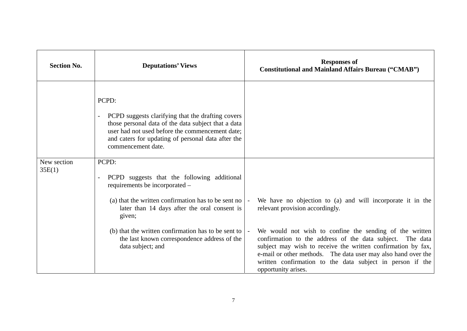| <b>Section No.</b>    | <b>Deputations' Views</b>                                                                                                                                                                                                                                                    | <b>Responses of</b><br><b>Constitutional and Mainland Affairs Bureau ("CMAB")</b>                                                                                                                                                                                                                                                         |
|-----------------------|------------------------------------------------------------------------------------------------------------------------------------------------------------------------------------------------------------------------------------------------------------------------------|-------------------------------------------------------------------------------------------------------------------------------------------------------------------------------------------------------------------------------------------------------------------------------------------------------------------------------------------|
|                       | PCPD:<br>PCPD suggests clarifying that the drafting covers<br>$\overline{\phantom{a}}$<br>those personal data of the data subject that a data<br>user had not used before the commencement date;<br>and caters for updating of personal data after the<br>commencement date. |                                                                                                                                                                                                                                                                                                                                           |
| New section<br>35E(1) | PCPD:<br>PCPD suggests that the following additional<br>requirements be incorporated –<br>(a) that the written confirmation has to be sent no<br>later than 14 days after the oral consent is<br>given;                                                                      | We have no objection to (a) and will incorporate it in the<br>relevant provision accordingly.                                                                                                                                                                                                                                             |
|                       | (b) that the written confirmation has to be sent to<br>the last known correspondence address of the<br>data subject; and                                                                                                                                                     | We would not wish to confine the sending of the written<br>confirmation to the address of the data subject. The data<br>subject may wish to receive the written confirmation by fax,<br>e-mail or other methods. The data user may also hand over the<br>written confirmation to the data subject in person if the<br>opportunity arises. |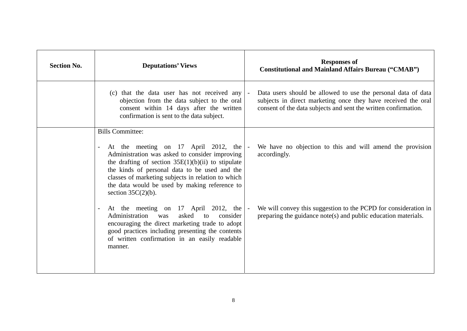| <b>Section No.</b> | <b>Deputations' Views</b>                                                                                                                                                                                                                                                                                                                                  | <b>Responses of</b><br><b>Constitutional and Mainland Affairs Bureau ("CMAB")</b>                                                                                                                 |
|--------------------|------------------------------------------------------------------------------------------------------------------------------------------------------------------------------------------------------------------------------------------------------------------------------------------------------------------------------------------------------------|---------------------------------------------------------------------------------------------------------------------------------------------------------------------------------------------------|
|                    | (c) that the data user has not received any<br>objection from the data subject to the oral<br>consent within 14 days after the written<br>confirmation is sent to the data subject.                                                                                                                                                                        | Data users should be allowed to use the personal data of data<br>subjects in direct marketing once they have received the oral<br>consent of the data subjects and sent the written confirmation. |
|                    | <b>Bills Committee:</b><br>At the meeting on 17 April 2012, the<br>Administration was asked to consider improving<br>the drafting of section $35E(1)(b)(ii)$ to stipulate<br>the kinds of personal data to be used and the<br>classes of marketing subjects in relation to which<br>the data would be used by making reference to<br>section $35C(2)(b)$ . | We have no objection to this and will amend the provision<br>accordingly.                                                                                                                         |
|                    | At the meeting on 17 April 2012, the<br>asked<br>Administration<br>consider<br>was<br>to<br>encouraging the direct marketing trade to adopt<br>good practices including presenting the contents<br>of written confirmation in an easily readable<br>manner.                                                                                                | We will convey this suggestion to the PCPD for consideration in<br>preparing the guidance note(s) and public education materials.                                                                 |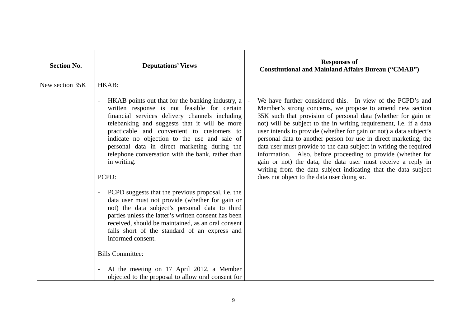| <b>Section No.</b> | <b>Deputations' Views</b>                                                                                                                                                                                                                                                                                                                                                                                                                                                                                                                                                                                                                                                                                                                                                                                                                                                                                                                                | <b>Responses of</b><br><b>Constitutional and Mainland Affairs Bureau ("CMAB")</b>                                                                                                                                                                                                                                                                                                                                                                                                                                                                                                                                                                                                                                              |
|--------------------|----------------------------------------------------------------------------------------------------------------------------------------------------------------------------------------------------------------------------------------------------------------------------------------------------------------------------------------------------------------------------------------------------------------------------------------------------------------------------------------------------------------------------------------------------------------------------------------------------------------------------------------------------------------------------------------------------------------------------------------------------------------------------------------------------------------------------------------------------------------------------------------------------------------------------------------------------------|--------------------------------------------------------------------------------------------------------------------------------------------------------------------------------------------------------------------------------------------------------------------------------------------------------------------------------------------------------------------------------------------------------------------------------------------------------------------------------------------------------------------------------------------------------------------------------------------------------------------------------------------------------------------------------------------------------------------------------|
| New section 35K    | HKAB:<br>HKAB points out that for the banking industry, a<br>$\overline{a}$<br>written response is not feasible for certain<br>financial services delivery channels including<br>telebanking and suggests that it will be more<br>practicable and convenient to customers to<br>indicate no objection to the use and sale of<br>personal data in direct marketing during the<br>telephone conversation with the bank, rather than<br>in writing.<br>PCPD:<br>PCPD suggests that the previous proposal, i.e. the<br>data user must not provide (whether for gain or<br>not) the data subject's personal data to third<br>parties unless the latter's written consent has been<br>received, should be maintained, as an oral consent<br>falls short of the standard of an express and<br>informed consent.<br><b>Bills Committee:</b><br>At the meeting on 17 April 2012, a Member<br>$\blacksquare$<br>objected to the proposal to allow oral consent for | We have further considered this. In view of the PCPD's and<br>Member's strong concerns, we propose to amend new section<br>35K such that provision of personal data (whether for gain or<br>not) will be subject to the in writing requirement, i.e. if a data<br>user intends to provide (whether for gain or not) a data subject's<br>personal data to another person for use in direct marketing, the<br>data user must provide to the data subject in writing the required<br>information. Also, before proceeding to provide (whether for<br>gain or not) the data, the data user must receive a reply in<br>writing from the data subject indicating that the data subject<br>does not object to the data user doing so. |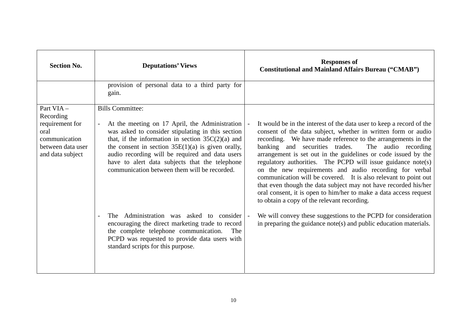| <b>Section No.</b>                                                                                          | <b>Deputations' Views</b>                                                                                                                                                                                                                                                                                                                                                                         | <b>Responses of</b><br><b>Constitutional and Mainland Affairs Bureau ("CMAB")</b>                                                                                                                                                                                                                                                                                                                                                                                                                                                                                                                                                                                                                                    |
|-------------------------------------------------------------------------------------------------------------|---------------------------------------------------------------------------------------------------------------------------------------------------------------------------------------------------------------------------------------------------------------------------------------------------------------------------------------------------------------------------------------------------|----------------------------------------------------------------------------------------------------------------------------------------------------------------------------------------------------------------------------------------------------------------------------------------------------------------------------------------------------------------------------------------------------------------------------------------------------------------------------------------------------------------------------------------------------------------------------------------------------------------------------------------------------------------------------------------------------------------------|
|                                                                                                             | provision of personal data to a third party for<br>gain.                                                                                                                                                                                                                                                                                                                                          |                                                                                                                                                                                                                                                                                                                                                                                                                                                                                                                                                                                                                                                                                                                      |
| Part VIA-<br>Recording<br>requirement for<br>oral<br>communication<br>between data user<br>and data subject | <b>Bills Committee:</b><br>At the meeting on 17 April, the Administration<br>was asked to consider stipulating in this section<br>that, if the information in section $35C(2)(a)$ and<br>the consent in section $35E(1)(a)$ is given orally,<br>audio recording will be required and data users<br>have to alert data subjects that the telephone<br>communication between them will be recorded. | It would be in the interest of the data user to keep a record of the<br>consent of the data subject, whether in written form or audio<br>recording. We have made reference to the arrangements in the<br>banking and securities trades.<br>The audio recording<br>arrangement is set out in the guidelines or code issued by the<br>regulatory authorities. The PCPD will issue guidance note(s)<br>on the new requirements and audio recording for verbal<br>communication will be covered. It is also relevant to point out<br>that even though the data subject may not have recorded his/her<br>oral consent, it is open to him/her to make a data access request<br>to obtain a copy of the relevant recording. |
|                                                                                                             | Administration was asked to consider<br>The T<br>encouraging the direct marketing trade to record<br>the complete telephone communication.<br>The<br>PCPD was requested to provide data users with<br>standard scripts for this purpose.                                                                                                                                                          | We will convey these suggestions to the PCPD for consideration<br>in preparing the guidance note(s) and public education materials.                                                                                                                                                                                                                                                                                                                                                                                                                                                                                                                                                                                  |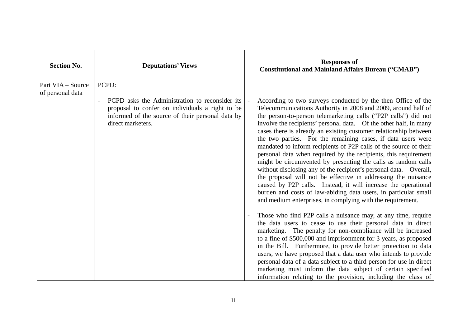| <b>Section No.</b> | <b>Deputations' Views</b>                                                                                                                                                                              | <b>Responses of</b><br><b>Constitutional and Mainland Affairs Bureau ("CMAB")</b>                                                                                                                                                                                                                                                                                                                                                                                                                                                                                                                                                                                                                                                                                                                                                                                                                                                                                                                                                                                                           |
|--------------------|--------------------------------------------------------------------------------------------------------------------------------------------------------------------------------------------------------|---------------------------------------------------------------------------------------------------------------------------------------------------------------------------------------------------------------------------------------------------------------------------------------------------------------------------------------------------------------------------------------------------------------------------------------------------------------------------------------------------------------------------------------------------------------------------------------------------------------------------------------------------------------------------------------------------------------------------------------------------------------------------------------------------------------------------------------------------------------------------------------------------------------------------------------------------------------------------------------------------------------------------------------------------------------------------------------------|
| Part VIA - Source  | PCPD:                                                                                                                                                                                                  |                                                                                                                                                                                                                                                                                                                                                                                                                                                                                                                                                                                                                                                                                                                                                                                                                                                                                                                                                                                                                                                                                             |
| of personal data   | PCPD asks the Administration to reconsider its<br>$\overline{\phantom{a}}$<br>proposal to confer on individuals a right to be<br>informed of the source of their personal data by<br>direct marketers. | According to two surveys conducted by the then Office of the<br>Telecommunications Authority in 2008 and 2009, around half of<br>the person-to-person telemarketing calls ("P2P calls") did not<br>involve the recipients' personal data. Of the other half, in many<br>cases there is already an existing customer relationship between<br>the two parties. For the remaining cases, if data users were<br>mandated to inform recipients of P2P calls of the source of their<br>personal data when required by the recipients, this requirement<br>might be circumvented by presenting the calls as random calls<br>without disclosing any of the recipient's personal data. Overall,<br>the proposal will not be effective in addressing the nuisance<br>caused by P2P calls. Instead, it will increase the operational<br>burden and costs of law-abiding data users, in particular small<br>and medium enterprises, in complying with the requirement.<br>Those who find P2P calls a nuisance may, at any time, require<br>the data users to cease to use their personal data in direct |
|                    |                                                                                                                                                                                                        | marketing. The penalty for non-compliance will be increased<br>to a fine of \$500,000 and imprisonment for 3 years, as proposed<br>in the Bill. Furthermore, to provide better protection to data                                                                                                                                                                                                                                                                                                                                                                                                                                                                                                                                                                                                                                                                                                                                                                                                                                                                                           |
|                    |                                                                                                                                                                                                        | users, we have proposed that a data user who intends to provide<br>personal data of a data subject to a third person for use in direct<br>marketing must inform the data subject of certain specified                                                                                                                                                                                                                                                                                                                                                                                                                                                                                                                                                                                                                                                                                                                                                                                                                                                                                       |
|                    |                                                                                                                                                                                                        | information relating to the provision, including the class of                                                                                                                                                                                                                                                                                                                                                                                                                                                                                                                                                                                                                                                                                                                                                                                                                                                                                                                                                                                                                               |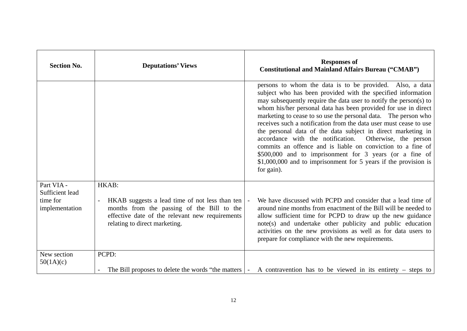| <b>Section No.</b>                                          | <b>Deputations' Views</b>                                                                                                                                                                                   | <b>Responses of</b><br><b>Constitutional and Mainland Affairs Bureau ("CMAB")</b>                                                                                                                                                                                                                                                                                                                                                                                                                                                                                                                                                                                                                                                               |
|-------------------------------------------------------------|-------------------------------------------------------------------------------------------------------------------------------------------------------------------------------------------------------------|-------------------------------------------------------------------------------------------------------------------------------------------------------------------------------------------------------------------------------------------------------------------------------------------------------------------------------------------------------------------------------------------------------------------------------------------------------------------------------------------------------------------------------------------------------------------------------------------------------------------------------------------------------------------------------------------------------------------------------------------------|
|                                                             |                                                                                                                                                                                                             | persons to whom the data is to be provided. Also, a data<br>subject who has been provided with the specified information<br>may subsequently require the data user to notify the person(s) to<br>whom his/her personal data has been provided for use in direct<br>marketing to cease to so use the personal data. The person who<br>receives such a notification from the data user must cease to use<br>the personal data of the data subject in direct marketing in<br>accordance with the notification.<br>Otherwise, the person<br>commits an offence and is liable on conviction to a fine of<br>\$500,000 and to imprisonment for 3 years (or a fine of<br>\$1,000,000 and to imprisonment for 5 years if the provision is<br>for gain). |
| Part VIA -<br>Sufficient lead<br>time for<br>implementation | HKAB:<br>HKAB suggests a lead time of not less than ten<br>$\blacksquare$<br>months from the passing of the Bill to the<br>effective date of the relevant new requirements<br>relating to direct marketing. | We have discussed with PCPD and consider that a lead time of<br>around nine months from enactment of the Bill will be needed to<br>allow sufficient time for PCPD to draw up the new guidance<br>note(s) and undertake other publicity and public education<br>activities on the new provisions as well as for data users to<br>prepare for compliance with the new requirements.                                                                                                                                                                                                                                                                                                                                                               |
| New section<br>50(1A)(c)                                    | PCPD:<br>The Bill proposes to delete the words "the matters"                                                                                                                                                | A contravention has to be viewed in its entirety $-$ steps to<br>$\sim$                                                                                                                                                                                                                                                                                                                                                                                                                                                                                                                                                                                                                                                                         |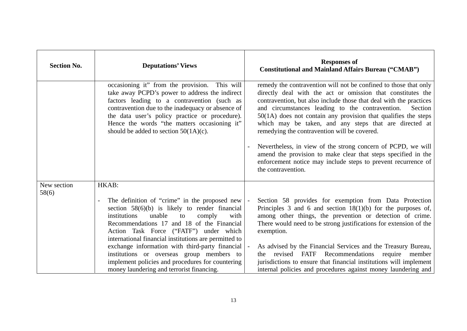| <b>Section No.</b>   | <b>Deputations' Views</b>                                                                                                                                                                                                                                                                                                                                                                                                                                                                                                         | <b>Responses of</b><br><b>Constitutional and Mainland Affairs Bureau ("CMAB")</b>                                                                                                                                                                                                                                                                                                                                                                                                                                                                                                                                                                                         |
|----------------------|-----------------------------------------------------------------------------------------------------------------------------------------------------------------------------------------------------------------------------------------------------------------------------------------------------------------------------------------------------------------------------------------------------------------------------------------------------------------------------------------------------------------------------------|---------------------------------------------------------------------------------------------------------------------------------------------------------------------------------------------------------------------------------------------------------------------------------------------------------------------------------------------------------------------------------------------------------------------------------------------------------------------------------------------------------------------------------------------------------------------------------------------------------------------------------------------------------------------------|
|                      | occasioning it" from the provision. This will<br>take away PCPD's power to address the indirect<br>factors leading to a contravention (such as<br>contravention due to the inadequacy or absence of<br>the data user's policy practice or procedure).<br>Hence the words "the matters occasioning it"<br>should be added to section $50(1A)(c)$ .                                                                                                                                                                                 | remedy the contravention will not be confined to those that only<br>directly deal with the act or omission that constitutes the<br>contravention, but also include those that deal with the practices<br>and circumstances leading to the contravention.<br>Section<br>$50(1A)$ does not contain any provision that qualifies the steps<br>which may be taken, and any steps that are directed at<br>remedying the contravention will be covered.<br>Nevertheless, in view of the strong concern of PCPD, we will<br>amend the provision to make clear that steps specified in the<br>enforcement notice may include steps to prevent recurrence of<br>the contravention. |
| New section<br>58(6) | HKAB:                                                                                                                                                                                                                                                                                                                                                                                                                                                                                                                             |                                                                                                                                                                                                                                                                                                                                                                                                                                                                                                                                                                                                                                                                           |
|                      | The definition of "crime" in the proposed new<br>$\overline{\phantom{a}}$<br>section $58(6)(b)$ is likely to render financial<br>unable<br>institutions<br>with<br>to<br>comply<br>Recommendations 17 and 18 of the Financial<br>Action Task Force ("FATF") under which<br>international financial institutions are permitted to<br>exchange information with third-party financial<br>institutions or overseas group members to<br>implement policies and procedures for countering<br>money laundering and terrorist financing. | Section 58 provides for exemption from Data Protection<br>Principles 3 and 6 and section $18(1)(b)$ for the purposes of,<br>among other things, the prevention or detection of crime.<br>There would need to be strong justifications for extension of the<br>exemption.<br>As advised by the Financial Services and the Treasury Bureau,<br>revised FATF Recommendations<br>require<br>member<br>the<br>jurisdictions to ensure that financial institutions will implement<br>internal policies and procedures against money laundering and                                                                                                                              |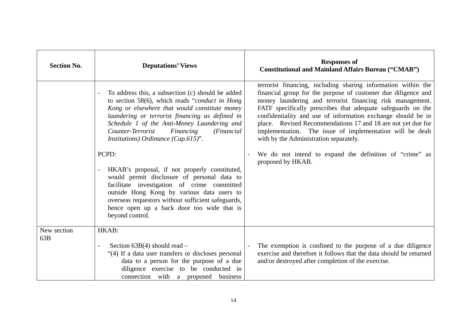| <b>Section No.</b> | <b>Deputations' Views</b>                                                                                                                                                                                                                                                                                                                                                                                                                                                                                                                                                                                                                                                                     | <b>Responses of</b><br><b>Constitutional and Mainland Affairs Bureau ("CMAB")</b>                                                                                                                                                                                                                                                                                                                                                                                                                                                                                                  |
|--------------------|-----------------------------------------------------------------------------------------------------------------------------------------------------------------------------------------------------------------------------------------------------------------------------------------------------------------------------------------------------------------------------------------------------------------------------------------------------------------------------------------------------------------------------------------------------------------------------------------------------------------------------------------------------------------------------------------------|------------------------------------------------------------------------------------------------------------------------------------------------------------------------------------------------------------------------------------------------------------------------------------------------------------------------------------------------------------------------------------------------------------------------------------------------------------------------------------------------------------------------------------------------------------------------------------|
|                    | To address this, a subsection (c) should be added<br>to section 58(6), which reads "conduct in Hong"<br>Kong or elsewhere that would constitute money<br>laundering or terrorist financing as defined in<br>Schedule 1 of the Anti-Money Laundering and<br>Counter-Terrorist<br>Financing<br>(Financial)<br>Institutions) Ordinance (Cap.615)".<br>PCPD:<br>HKAB's proposal, if not properly constituted,<br>$\frac{1}{2}$<br>would permit disclosure of personal data to<br>facilitate investigation of crime committed<br>outside Hong Kong by various data users to<br>overseas requestors without sufficient safeguards,<br>hence open up a back door too wide that is<br>beyond control. | terrorist financing, including sharing information within the<br>financial group for the purpose of customer due diligence and<br>money laundering and terrorist financing risk management.<br>FATF specifically prescribes that adequate safeguards on the<br>confidentiality and use of information exchange should be in<br>place. Revised Recommendations 17 and 18 are not yet due for<br>implementation. The issue of implementation will be dealt<br>with by the Administration separately.<br>We do not intend to expand the definition of "crime" as<br>proposed by HKAB. |
| New section<br>63B | HKAB:<br>Section $63B(4)$ should read –<br>$\overline{a}$<br>"(4) If a data user transfers or discloses personal<br>data to a person for the purpose of a due                                                                                                                                                                                                                                                                                                                                                                                                                                                                                                                                 | The exemption is confined to the purpose of a due diligence<br>exercise and therefore it follows that the data should be returned<br>and/or destroyed after completion of the exercise.                                                                                                                                                                                                                                                                                                                                                                                            |
|                    | diligence exercise to be conducted in<br>connection with a proposed business                                                                                                                                                                                                                                                                                                                                                                                                                                                                                                                                                                                                                  |                                                                                                                                                                                                                                                                                                                                                                                                                                                                                                                                                                                    |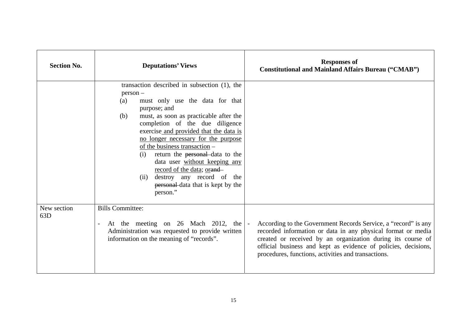| <b>Section No.</b> | <b>Deputations' Views</b>                                                                                                                                                                                                                                                                                                                                                                                                                                                                                                 | <b>Responses of</b><br><b>Constitutional and Mainland Affairs Bureau ("CMAB")</b>                                                                                                                                                                                                                                      |
|--------------------|---------------------------------------------------------------------------------------------------------------------------------------------------------------------------------------------------------------------------------------------------------------------------------------------------------------------------------------------------------------------------------------------------------------------------------------------------------------------------------------------------------------------------|------------------------------------------------------------------------------------------------------------------------------------------------------------------------------------------------------------------------------------------------------------------------------------------------------------------------|
|                    | transaction described in subsection (1), the<br>$person -$<br>must only use the data for that<br>(a)<br>purpose; and<br>must, as soon as practicable after the<br>(b)<br>completion of the due diligence<br>exercise and provided that the data is<br>no longer necessary for the purpose<br>of the business transaction –<br>return the personal data to the<br>(i)<br>data user without keeping any<br>record of the data; orand-<br>destroy any record of the<br>(ii)<br>personal data that is kept by the<br>person." |                                                                                                                                                                                                                                                                                                                        |
| New section<br>63D | <b>Bills Committee:</b><br>At the meeting on 26 Mach 2012, the<br>$\overline{\phantom{a}}$<br>Administration was requested to provide written<br>information on the meaning of "records".                                                                                                                                                                                                                                                                                                                                 | According to the Government Records Service, a "record" is any<br>recorded information or data in any physical format or media<br>created or received by an organization during its course of<br>official business and kept as evidence of policies, decisions,<br>procedures, functions, activities and transactions. |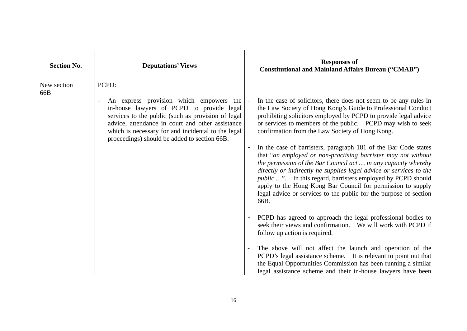| <b>Section No.</b> | <b>Deputations' Views</b>                                                                                                                                                                                                                                                                            | <b>Responses of</b><br><b>Constitutional and Mainland Affairs Bureau ("CMAB")</b>                                                                                                                                                                                                                                                                                                                                                                                                                                                                                                                                                                                                                     |
|--------------------|------------------------------------------------------------------------------------------------------------------------------------------------------------------------------------------------------------------------------------------------------------------------------------------------------|-------------------------------------------------------------------------------------------------------------------------------------------------------------------------------------------------------------------------------------------------------------------------------------------------------------------------------------------------------------------------------------------------------------------------------------------------------------------------------------------------------------------------------------------------------------------------------------------------------------------------------------------------------------------------------------------------------|
| New section<br>66B | PCPD:                                                                                                                                                                                                                                                                                                |                                                                                                                                                                                                                                                                                                                                                                                                                                                                                                                                                                                                                                                                                                       |
|                    | An express provision which empowers the<br>in-house lawyers of PCPD to provide legal<br>services to the public (such as provision of legal<br>advice, attendance in court and other assistance<br>which is necessary for and incidental to the legal<br>proceedings) should be added to section 66B. | In the case of solicitors, there does not seem to be any rules in<br>the Law Society of Hong Kong's Guide to Professional Conduct<br>prohibiting solicitors employed by PCPD to provide legal advice<br>or services to members of the public. PCPD may wish to seek<br>confirmation from the Law Society of Hong Kong.<br>In the case of barristers, paragraph 181 of the Bar Code states<br>$\overline{\phantom{a}}$<br>that "an employed or non-practising barrister may not without<br>the permission of the Bar Council act  in any capacity whereby<br>directly or indirectly he supplies legal advice or services to the<br><i>public</i> ". In this regard, barristers employed by PCPD should |
|                    |                                                                                                                                                                                                                                                                                                      | apply to the Hong Kong Bar Council for permission to supply<br>legal advice or services to the public for the purpose of section<br>66B.                                                                                                                                                                                                                                                                                                                                                                                                                                                                                                                                                              |
|                    |                                                                                                                                                                                                                                                                                                      | PCPD has agreed to approach the legal professional bodies to<br>$\blacksquare$<br>seek their views and confirmation. We will work with PCPD if<br>follow up action is required.                                                                                                                                                                                                                                                                                                                                                                                                                                                                                                                       |
|                    |                                                                                                                                                                                                                                                                                                      | The above will not affect the launch and operation of the<br>PCPD's legal assistance scheme. It is relevant to point out that<br>the Equal Opportunities Commission has been running a similar<br>legal assistance scheme and their in-house lawyers have been                                                                                                                                                                                                                                                                                                                                                                                                                                        |